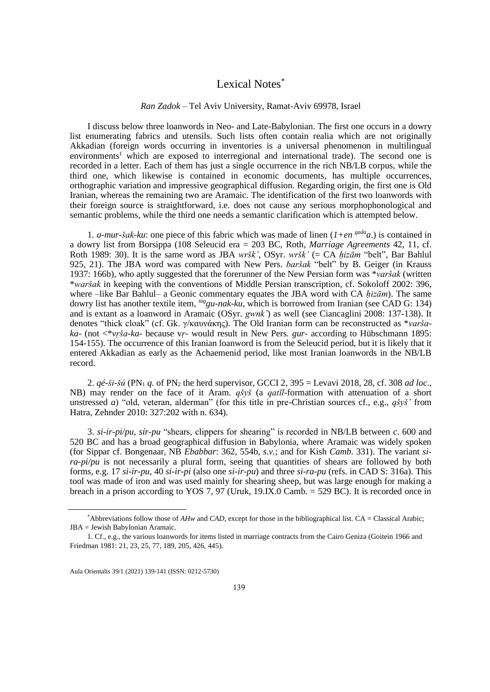## Lexical Notes<sup>\*</sup>

## *Ran Zadok* – Tel Aviv University, Ramat-Aviv 69978, Israel

I discuss below three loanwords in Neo- and Late-Babylonian. The first one occurs in a dowry list enumerating fabrics and utensils. Such lists often contain realia which are not originally Akkadian (foreign words occurring in inventories is a universal phenomenon in multilingual environments<sup>1</sup> which are exposed to interregional and international trade). The second one is recorded in a letter. Each of them has just a single occurrence in the rich NB/LB corpus, while the third one, which likewise is contained in economic documents, has multiple occurrences, orthographic variation and impressive geographical diffusion. Regarding origin, the first one is Old Iranian, whereas the remaining two are Aramaic. The identification of the first two loanwords with their foreign source is straightforward, i.e. does not cause any serious morphophonological and semantic problems, while the third one needs a semantic clarification which is attempted below.

1*. a-mur-šak-ku*: one piece of this fabric which was made of linen (*1+en gadaa*.) is contained in a dowry list from Borsippa (108 Seleucid era = 203 BC, Roth*, Marriage Agreements* 42, 11, cf. Roth 1989: 30). It is the same word as JBA *wršk'*, OSyr. *wršk'* (= CA *ḥizām* "belt", Bar Bahlul 925, 21). The JBA word was compared with New Pers. *baršak* "belt" by B. Geiger (in Krauss 1937: 166b), who aptly suggested that the forerunner of the New Persian form was \**varšak* (written \**waršak* in keeping with the conventions of Middle Persian transcription, cf. Sokoloff 2002: 396, where –like Bar Bahlul– a Geonic commentary equates the JBA word with CA *ḥizām*). The same dowry list has another textile item, *túggu-nak-ku*, which is borrowed from Iranian (see CAD G: 134) and is extant as a loanword in Aramaic (OSyr. *gwnk'*) as well (see Ciancaglini 2008: 137-138). It denotes "thick cloak" (cf. Gk. γ/καυνάκης). The Old Iranian form can be reconstructed as \**varšaka-* (not <\**vṛša-ka-* because v*ṛ-* would result in New Pers*. gur-* according to Hübschmann 1895: 154-155). The occurrence of this Iranian loanword is from the Seleucid period, but it is likely that it entered Akkadian as early as the Achaemenid period, like most Iranian loanwords in the NB/LB record.

2.  $q\acute{e}$ - $\ddot{s}i$ - $\ddot{s}$ *i* $\ddot{\theta}$  (PN<sub>1</sub> *q*, of PN<sub>2</sub> the herd supervisor, GCCI 2, 395 = Levavi 2018, 28, cf. 308 *ad loc*. NB) may render on the face of it Aram. *qšyš* (a *qatīl*-formation with attenuation of a short unstressed *a*) "old, veteran, alderman" (for this title in pre-Christian sources cf., e.g., *qšyš'* from Hatra, Zehnder 2010: 327:202 with n. 634).

3. *si-ir-pi/pu*, *sír-pu* "shears, clippers for shearing" is recorded in NB/LB between *c*. 600 and 520 BC and has a broad geographical diffusion in Babylonia, where Aramaic was widely spoken (for Sippar cf. Bongenaar, NB *Ebabbar*: 362, 554b, *s.v.*; and for Kish *Camb*. 331). The variant *sira-pi/pu* is not necessarily a plural form, seeing that quantities of shears are followed by both forms, e.g. 17 *si-ir-pu*, 40 *si-ir-pi* (also one *si-ir-pu*) and three *si-ra-pu* (refs. in CAD S: 316a). This tool was made of iron and was used mainly for shearing sheep, but was large enough for making a breach in a prison according to YOS 7, 97 (Uruk, 19.IX.0 Camb. = 529 BC). It is recorded once in

Aula Orientalis 39/1 (2021) 139-141 (ISSN: 0212-5730)

<sup>\*</sup>Abbreviations follow those of *AHw* and *CAD*, except for those in the bibliographical list. CA = Classical Arabic; JBA = Jewish Babylonian Aramaic.

<sup>1.</sup> Cf., e.g., the various loanwords for items listed in marriage contracts from the Cairo Geniza (Goitein 1966 and Friedman 1981: 21, 23, 25, 77, 189, 205, 426, 445).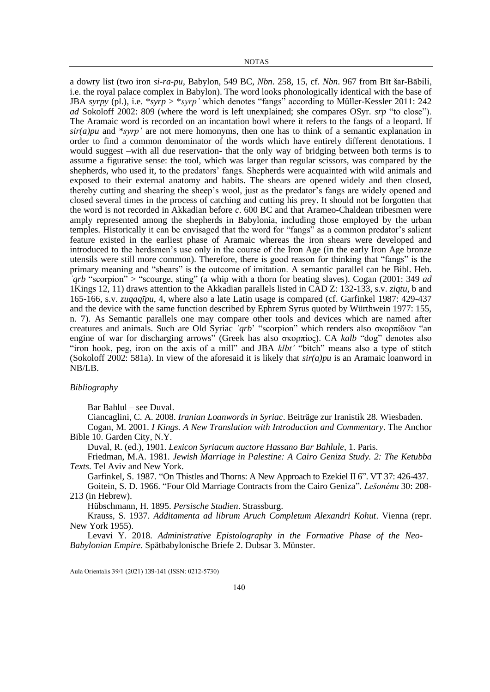a dowry list (two iron *si-ra-pu*, Babylon, 549 BC, *Nbn*. 258, 15, cf. *Nbn*. 967 from Bīt šar-Bābili, i.e. the royal palace complex in Babylon). The word looks phonologically identical with the base of JBA *syrpy* (pl.), i.e. \**syrp* > \**syrp'* which denotes "fangs" according to Müller-Kessler 2011: 242 *ad* Sokoloff 2002: 809 (where the word is left unexplained; she compares OSyr. *srp* "to close"). The Aramaic word is recorded on an incantation bowl where it refers to the fangs of a leopard. If  $sir(a)pu$  and  $**syrp*$  are not mere homonyms, then one has to think of a semantic explanation in order to find a common denominator of the words which have entirely different denotations. I would suggest –with all due reservation- that the only way of bridging between both terms is to assume a figurative sense: the tool, which was larger than regular scissors, was compared by the shepherds, who used it, to the predators' fangs. Shepherds were acquainted with wild animals and exposed to their external anatomy and habits. The shears are opened widely and then closed, thereby cutting and shearing the sheep's wool, just as the predator's fangs are widely opened and closed several times in the process of catching and cutting his prey. It should not be forgotten that the word is not recorded in Akkadian before *c*. 600 BC and that Arameo-Chaldean tribesmen were amply represented among the shepherds in Babylonia, including those employed by the urban temples. Historically it can be envisaged that the word for "fangs" as a common predator's salient feature existed in the earliest phase of Aramaic whereas the iron shears were developed and introduced to the herdsmen's use only in the course of the Iron Age (in the early Iron Age bronze utensils were still more common). Therefore, there is good reason for thinking that "fangs" is the primary meaning and "shears" is the outcome of imitation. A semantic parallel can be Bibl. Heb. *ʿqrb* "scorpion" > "scourge, sting" (a whip with a thorn for beating slaves). Cogan (2001: 349 *ad*  1Kings 12, 11) draws attention to the Akkadian parallels listed in CAD Z: 132-133, s.v. *ziqtu*, b and 165-166, s.v. *zuqaqῑpu*, 4, where also a late Latin usage is compared (cf. Garfinkel 1987: 429-437 and the device with the same function described by Ephrem Syrus quoted by Würthwein 1977: 155, n. 7). As Semantic parallels one may compare other tools and devices which are named after creatures and animals. Such are Old Syriac *ʿqrb*' "scorpion" which renders also σκορπίδιον "an engine of war for discharging arrows" (Greek has also σκορπίος). CA *kalb* "dog" denotes also "iron hook, peg, iron on the axis of a mill" and JBA *klbt'* "bitch" means also a type of stitch (Sokoloff 2002: 581a). In view of the aforesaid it is likely that *sir(a)pu* is an Aramaic loanword in NB/LB.

## *Bibliography*

Bar Bahlul – see Duval.

Ciancaglini, C. A. 2008. *Iranian Loanwords in Syriac*. Beiträge zur Iranistik 28. Wiesbaden.

Cogan, M. 2001. *I Kings. A New Translation with Introduction and Commentary*. The Anchor Bible 10. Garden City, N.Y.

Duval, R. (ed.), 1901. *Lexicon Syriacum auctore Hassano Bar Bahlule*, 1. Paris.

Friedman, M.A. 1981. *Jewish Marriage in Palestine: A Cairo Geniza Study. 2: The Ketubba Texts*. Tel Aviv and New York.

Garfinkel, S. 1987. "On Thistles and Thorns: A New Approach to Ezekiel II 6". VT 37: 426-437. Goitein, S. D. 1966. "Four Old Marriage Contracts from the Cairo Geniza"*. Lešonénu* 30: 208-

213 (in Hebrew).

Hübschmann, H. 1895. *Persische Studien*. Strassburg.

Krauss, S. 1937. *Additamenta ad librum Aruch Completum Alexandri Kohut*. Vienna (repr. New York 1955).

Levavi Y. 2018. *Administrative Epistolography in the Formative Phase of the Neo-Babylonian Empire*. Spätbabylonische Briefe 2. Dubsar 3. Münster.

Aula Orientalis 39/1 (2021) 139-141 (ISSN: 0212-5730)